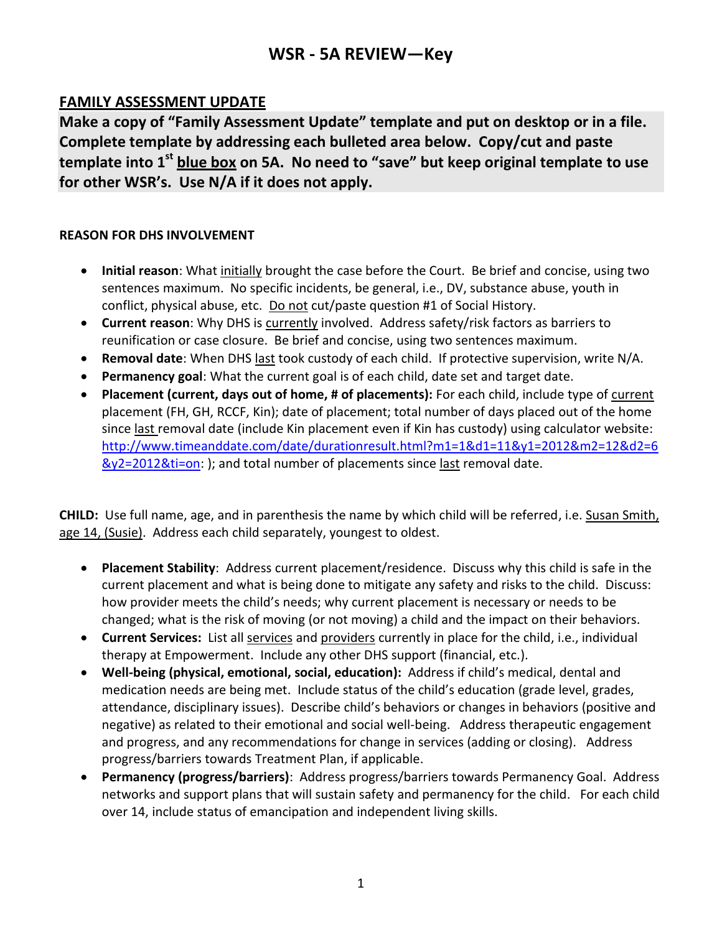# **WSR - 5A REVIEW—Key**

## **FAMILY ASSESSMENT UPDATE**

**Make a copy of "Family Assessment Update" template and put on desktop or in a file. Complete template by addressing each bulleted area below. Copy/cut and paste template into 1st blue box on 5A. No need to "save" but keep original template to use for other WSR's. Use N/A if it does not apply.**

### **REASON FOR DHS INVOLVEMENT**

- **Initial reason**: What initially brought the case before the Court. Be brief and concise, using two sentences maximum. No specific incidents, be general, i.e., DV, substance abuse, youth in conflict, physical abuse, etc. Do not cut/paste question #1 of Social History.
- **Current reason**: Why DHS is currently involved. Address safety/risk factors as barriers to reunification or case closure. Be brief and concise, using two sentences maximum.
- **Removal date**: When DHS last took custody of each child. If protective supervision, write N/A.
- **Permanency goal**: What the current goal is of each child, date set and target date.
- **Placement (current, days out of home, # of placements):** For each child, include type of current placement (FH, GH, RCCF, Kin); date of placement; total number of days placed out of the home since last removal date (include Kin placement even if Kin has custody) using calculator website: [http://www.timeanddate.com/date/durationresult.html?m1=1&d1=11&y1=2012&m2=12&d2=6](http://www.timeanddate.com/date/durationresult.html?m1=1&d1=11&y1=2012&m2=12&d2=6&y2=2012&ti=on) 8y2=2012&ti=on: ); and total number of placements since last removal date.

**CHILD:** Use full name, age, and in parenthesis the name by which child will be referred, i.e. Susan Smith, age 14, (Susie). Address each child separately, youngest to oldest.

- **Placement Stability**: Address current placement/residence. Discuss why this child is safe in the current placement and what is being done to mitigate any safety and risks to the child. Discuss: how provider meets the child's needs; why current placement is necessary or needs to be changed; what is the risk of moving (or not moving) a child and the impact on their behaviors.
- **Current Services:** List all services and providers currently in place for the child, i.e., individual therapy at Empowerment. Include any other DHS support (financial, etc.).
- **Well-being (physical, emotional, social, education):** Address if child's medical, dental and medication needs are being met. Include status of the child's education (grade level, grades, attendance, disciplinary issues). Describe child's behaviors or changes in behaviors (positive and negative) as related to their emotional and social well-being. Address therapeutic engagement and progress, and any recommendations for change in services (adding or closing). Address progress/barriers towards Treatment Plan, if applicable.
- **Permanency (progress/barriers)**: Address progress/barriers towards Permanency Goal. Address networks and support plans that will sustain safety and permanency for the child. For each child over 14, include status of emancipation and independent living skills.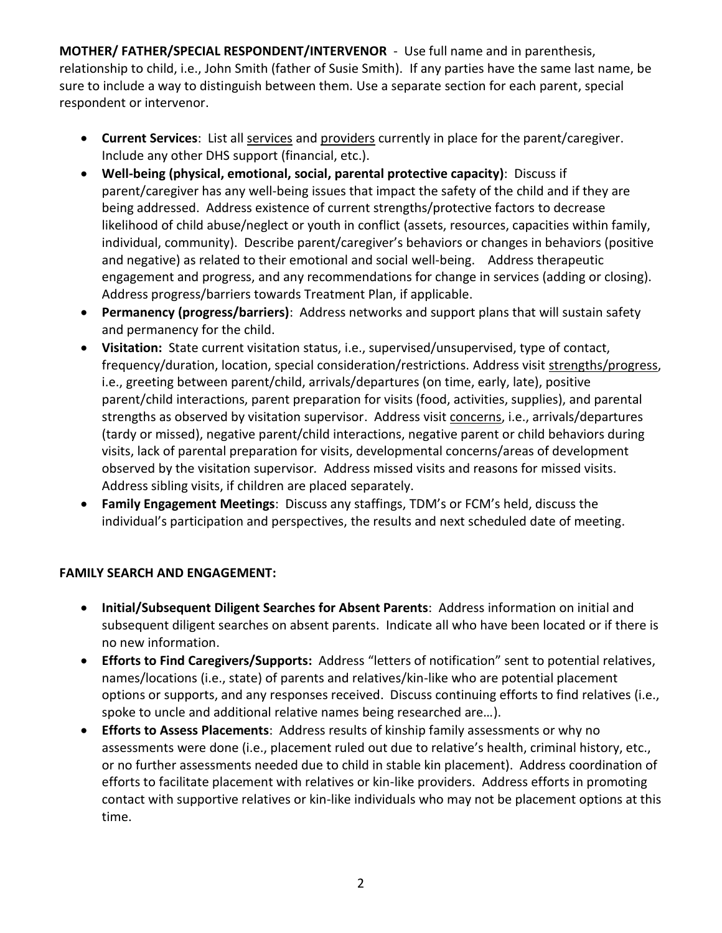**MOTHER/ FATHER/SPECIAL RESPONDENT/INTERVENOR** -Use full name and in parenthesis, relationship to child, i.e., John Smith (father of Susie Smith). If any parties have the same last name, be sure to include a way to distinguish between them. Use a separate section for each parent, special respondent or intervenor.

- **Current Services**: List all services and providers currently in place for the parent/caregiver. Include any other DHS support (financial, etc.).
- **Well-being (physical, emotional, social, parental protective capacity)**: Discuss if parent/caregiver has any well-being issues that impact the safety of the child and if they are being addressed. Address existence of current strengths/protective factors to decrease likelihood of child abuse/neglect or youth in conflict (assets, resources, capacities within family, individual, community). Describe parent/caregiver's behaviors or changes in behaviors (positive and negative) as related to their emotional and social well-being. Address therapeutic engagement and progress, and any recommendations for change in services (adding or closing). Address progress/barriers towards Treatment Plan, if applicable.
- **Permanency (progress/barriers)**: Address networks and support plans that will sustain safety and permanency for the child.
- **Visitation:** State current visitation status, i.e., supervised/unsupervised, type of contact, frequency/duration, location, special consideration/restrictions. Address visit strengths/progress, i.e., greeting between parent/child, arrivals/departures (on time, early, late), positive parent/child interactions, parent preparation for visits (food, activities, supplies), and parental strengths as observed by visitation supervisor. Address visit concerns, i.e., arrivals/departures (tardy or missed), negative parent/child interactions, negative parent or child behaviors during visits, lack of parental preparation for visits, developmental concerns/areas of development observed by the visitation supervisor*.* Address missed visits and reasons for missed visits. Address sibling visits, if children are placed separately.
- **Family Engagement Meetings**: Discuss any staffings, TDM's or FCM's held, discuss the individual's participation and perspectives, the results and next scheduled date of meeting.

### **FAMILY SEARCH AND ENGAGEMENT:**

- **Initial/Subsequent Diligent Searches for Absent Parents**: Address information on initial and subsequent diligent searches on absent parents. Indicate all who have been located or if there is no new information.
- **Efforts to Find Caregivers/Supports:** Address "letters of notification" sent to potential relatives, names/locations (i.e., state) of parents and relatives/kin-like who are potential placement options or supports, and any responses received. Discuss continuing efforts to find relatives (i.e., spoke to uncle and additional relative names being researched are…).
- **Efforts to Assess Placements**: Address results of kinship family assessments or why no assessments were done (i.e., placement ruled out due to relative's health, criminal history, etc., or no further assessments needed due to child in stable kin placement). Address coordination of efforts to facilitate placement with relatives or kin-like providers. Address efforts in promoting contact with supportive relatives or kin-like individuals who may not be placement options at this time.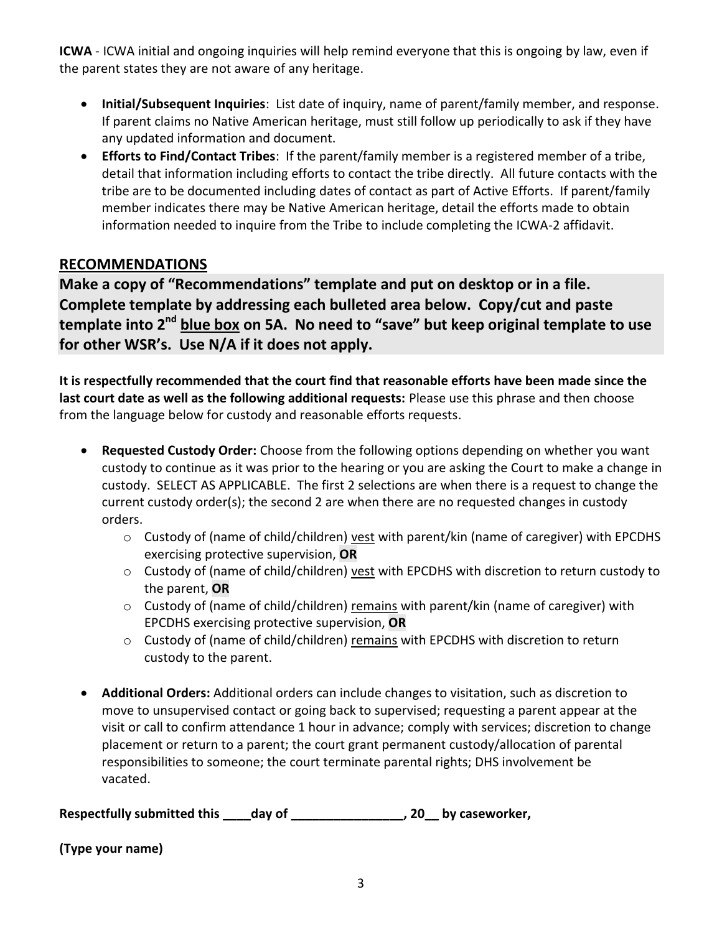**ICWA** - ICWA initial and ongoing inquiries will help remind everyone that this is ongoing by law, even if the parent states they are not aware of any heritage.

- **Initial/Subsequent Inquiries**: List date of inquiry, name of parent/family member, and response. If parent claims no Native American heritage, must still follow up periodically to ask if they have any updated information and document.
- **Efforts to Find/Contact Tribes**: If the parent/family member is a registered member of a tribe, detail that information including efforts to contact the tribe directly. All future contacts with the tribe are to be documented including dates of contact as part of Active Efforts. If parent/family member indicates there may be Native American heritage, detail the efforts made to obtain information needed to inquire from the Tribe to include completing the ICWA-2 affidavit.

## **RECOMMENDATIONS**

**Make a copy of "Recommendations" template and put on desktop or in a file. Complete template by addressing each bulleted area below. Copy/cut and paste template into 2nd blue box on 5A. No need to "save" but keep original template to use for other WSR's. Use N/A if it does not apply.**

**It is respectfully recommended that the court find that reasonable efforts have been made since the last court date as well as the following additional requests:** Please use this phrase and then choose from the language below for custody and reasonable efforts requests.

- **Requested Custody Order:** Choose from the following options depending on whether you want custody to continue as it was prior to the hearing or you are asking the Court to make a change in custody. SELECT AS APPLICABLE. The first 2 selections are when there is a request to change the current custody order(s); the second 2 are when there are no requested changes in custody orders.
	- o Custody of (name of child/children) vest with parent/kin (name of caregiver) with EPCDHS exercising protective supervision, **OR**
	- o Custody of (name of child/children) vest with EPCDHS with discretion to return custody to the parent, **OR**
	- o Custody of (name of child/children) remains with parent/kin (name of caregiver) with EPCDHS exercising protective supervision, **OR**
	- o Custody of (name of child/children) remains with EPCDHS with discretion to return custody to the parent.
- **Additional Orders:** Additional orders can include changes to visitation, such as discretion to move to unsupervised contact or going back to supervised; requesting a parent appear at the visit or call to confirm attendance 1 hour in advance; comply with services; discretion to change placement or return to a parent; the court grant permanent custody/allocation of parental responsibilities to someone; the court terminate parental rights; DHS involvement be vacated.

**Respectfully submitted this \_\_\_\_day of \_\_\_\_\_\_\_\_\_\_\_\_\_\_\_\_, 20\_\_ by caseworker,**

**(Type your name)**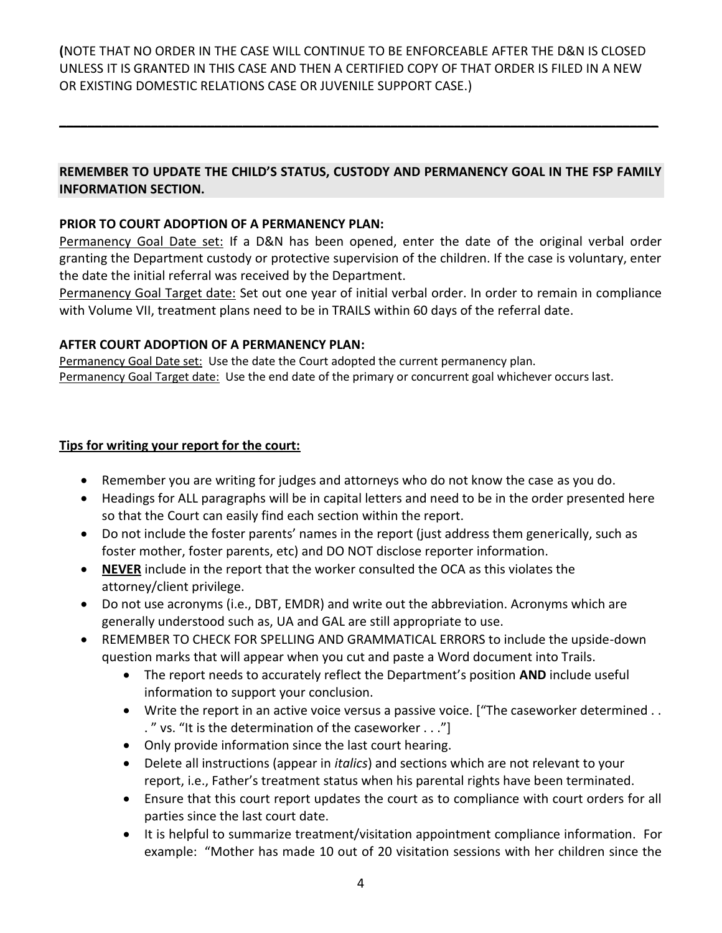**(**NOTE THAT NO ORDER IN THE CASE WILL CONTINUE TO BE ENFORCEABLE AFTER THE D&N IS CLOSED UNLESS IT IS GRANTED IN THIS CASE AND THEN A CERTIFIED COPY OF THAT ORDER IS FILED IN A NEW OR EXISTING DOMESTIC RELATIONS CASE OR JUVENILE SUPPORT CASE.)

## **REMEMBER TO UPDATE THE CHILD'S STATUS, CUSTODY AND PERMANENCY GOAL IN THE FSP FAMILY INFORMATION SECTION.**

**\_\_\_\_\_\_\_\_\_\_\_\_\_\_\_\_\_\_\_\_\_\_\_\_\_\_\_\_\_\_\_\_\_\_\_\_\_\_\_\_\_\_\_\_\_\_\_\_\_\_\_\_\_\_\_\_\_\_\_\_\_\_\_\_\_\_\_\_\_\_\_\_\_\_\_\_\_\_\_\_\_\_\_\_\_**

#### **PRIOR TO COURT ADOPTION OF A PERMANENCY PLAN:**

Permanency Goal Date set: If a D&N has been opened, enter the date of the original verbal order granting the Department custody or protective supervision of the children. If the case is voluntary, enter the date the initial referral was received by the Department.

Permanency Goal Target date: Set out one year of initial verbal order. In order to remain in compliance with Volume VII, treatment plans need to be in TRAILS within 60 days of the referral date.

#### **AFTER COURT ADOPTION OF A PERMANENCY PLAN:**

Permanency Goal Date set: Use the date the Court adopted the current permanency plan. Permanency Goal Target date: Use the end date of the primary or concurrent goal whichever occurs last.

#### **Tips for writing your report for the court:**

- Remember you are writing for judges and attorneys who do not know the case as you do.
- Headings for ALL paragraphs will be in capital letters and need to be in the order presented here so that the Court can easily find each section within the report.
- Do not include the foster parents' names in the report (just address them generically, such as foster mother, foster parents, etc) and DO NOT disclose reporter information.
- **NEVER** include in the report that the worker consulted the OCA as this violates the attorney/client privilege.
- Do not use acronyms (i.e., DBT, EMDR) and write out the abbreviation. Acronyms which are generally understood such as, UA and GAL are still appropriate to use.
- REMEMBER TO CHECK FOR SPELLING AND GRAMMATICAL ERRORS to include the upside-down question marks that will appear when you cut and paste a Word document into Trails.
	- The report needs to accurately reflect the Department's position **AND** include useful information to support your conclusion.
	- Write the report in an active voice versus a passive voice. ["The caseworker determined . . . " vs. "It is the determination of the caseworker . . ."]
	- Only provide information since the last court hearing.
	- Delete all instructions (appear in *italics*) and sections which are not relevant to your report, i.e., Father's treatment status when his parental rights have been terminated.
	- Ensure that this court report updates the court as to compliance with court orders for all parties since the last court date.
	- It is helpful to summarize treatment/visitation appointment compliance information. For example: "Mother has made 10 out of 20 visitation sessions with her children since the